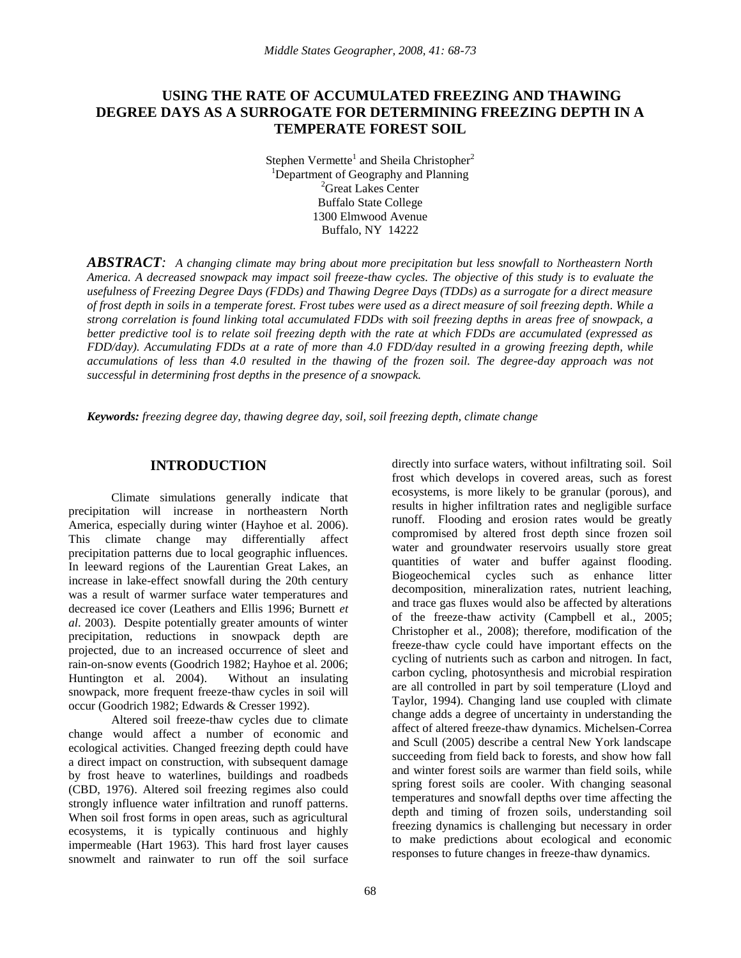# **USING THE RATE OF ACCUMULATED FREEZING AND THAWING DEGREE DAYS AS A SURROGATE FOR DETERMINING FREEZING DEPTH IN A TEMPERATE FOREST SOIL**

Stephen Vermette<sup>1</sup> and Sheila Christopher<sup>2</sup> <sup>1</sup>Department of Geography and Planning <sup>2</sup>Great Lakes Center Buffalo State College 1300 Elmwood Avenue Buffalo, NY 14222

*ABSTRACT: A changing climate may bring about more precipitation but less snowfall to Northeastern North America. A decreased snowpack may impact soil freeze-thaw cycles. The objective of this study is to evaluate the usefulness of Freezing Degree Days (FDDs) and Thawing Degree Days (TDDs) as a surrogate for a direct measure of frost depth in soils in a temperate forest. Frost tubes were used as a direct measure of soil freezing depth. While a strong correlation is found linking total accumulated FDDs with soil freezing depths in areas free of snowpack, a better predictive tool is to relate soil freezing depth with the rate at which FDDs are accumulated (expressed as FDD/day). Accumulating FDDs at a rate of more than 4.0 FDD/day resulted in a growing freezing depth, while accumulations of less than 4.0 resulted in the thawing of the frozen soil. The degree-day approach was not successful in determining frost depths in the presence of a snowpack.*

*Keywords: freezing degree day, thawing degree day, soil, soil freezing depth, climate change*

## **INTRODUCTION**

Climate simulations generally indicate that precipitation will increase in northeastern North America, especially during winter (Hayhoe et al. 2006). This climate change may differentially affect precipitation patterns due to local geographic influences. In leeward regions of the Laurentian Great Lakes, an increase in lake-effect snowfall during the 20th century was a result of warmer surface water temperatures and decreased ice cover (Leathers and Ellis 1996; Burnett *et al*. 2003). Despite potentially greater amounts of winter precipitation, reductions in snowpack depth are projected, due to an increased occurrence of sleet and rain-on-snow events (Goodrich 1982; Hayhoe et al. 2006; Huntington et al. 2004). Without an insulating snowpack, more frequent freeze-thaw cycles in soil will occur (Goodrich 1982; Edwards & Cresser 1992).

Altered soil freeze-thaw cycles due to climate change would affect a number of economic and ecological activities. Changed freezing depth could have a direct impact on construction, with subsequent damage by frost heave to waterlines, buildings and roadbeds (CBD, 1976). Altered soil freezing regimes also could strongly influence water infiltration and runoff patterns. When soil frost forms in open areas, such as agricultural ecosystems, it is typically continuous and highly impermeable (Hart 1963). This hard frost layer causes snowmelt and rainwater to run off the soil surface

directly into surface waters, without infiltrating soil. Soil frost which develops in covered areas, such as forest ecosystems, is more likely to be granular (porous), and results in higher infiltration rates and negligible surface runoff. Flooding and erosion rates would be greatly compromised by altered frost depth since frozen soil water and groundwater reservoirs usually store great quantities of water and buffer against flooding. Biogeochemical cycles such as enhance litter decomposition, mineralization rates, nutrient leaching, and trace gas fluxes would also be affected by alterations of the freeze-thaw activity (Campbell et al., 2005; Christopher et al., 2008); therefore, modification of the freeze-thaw cycle could have important effects on the cycling of nutrients such as carbon and nitrogen. In fact, carbon cycling, photosynthesis and microbial respiration are all controlled in part by soil temperature (Lloyd and Taylor, 1994). Changing land use coupled with climate change adds a degree of uncertainty in understanding the affect of altered freeze-thaw dynamics. Michelsen-Correa and Scull (2005) describe a central New York landscape succeeding from field back to forests, and show how fall and winter forest soils are warmer than field soils, while spring forest soils are cooler. With changing seasonal temperatures and snowfall depths over time affecting the depth and timing of frozen soils, understanding soil freezing dynamics is challenging but necessary in order to make predictions about ecological and economic responses to future changes in freeze-thaw dynamics.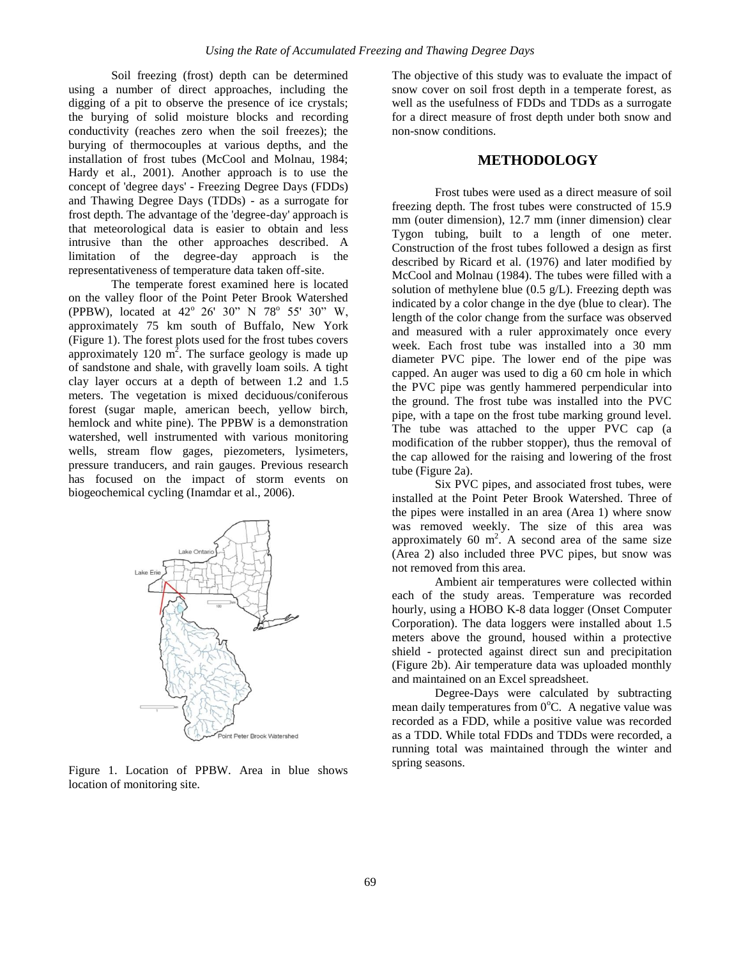Soil freezing (frost) depth can be determined using a number of direct approaches, including the digging of a pit to observe the presence of ice crystals; the burying of solid moisture blocks and recording conductivity (reaches zero when the soil freezes); the burying of thermocouples at various depths, and the installation of frost tubes (McCool and Molnau, 1984; Hardy et al., 2001). Another approach is to use the concept of 'degree days' - Freezing Degree Days (FDDs) and Thawing Degree Days (TDDs) - as a surrogate for frost depth. The advantage of the 'degree-day' approach is that meteorological data is easier to obtain and less intrusive than the other approaches described. A limitation of the degree-day approach is the representativeness of temperature data taken off-site.

The temperate forest examined here is located on the valley floor of the Point Peter Brook Watershed (PPBW), located at  $42^{\circ}$  26' 30" N 78° 55' 30" W, approximately 75 km south of Buffalo, New York (Figure 1). The forest plots used for the frost tubes covers approximately 120  $m^2$ . The surface geology is made up of sandstone and shale, with gravelly loam soils. A tight clay layer occurs at a depth of between 1.2 and 1.5 meters. The vegetation is mixed deciduous/coniferous forest (sugar maple, american beech, yellow birch, hemlock and white pine). The PPBW is a demonstration watershed, well instrumented with various monitoring wells, stream flow gages, piezometers, lysimeters, pressure tranducers, and rain gauges. Previous research has focused on the impact of storm events on biogeochemical cycling (Inamdar et al., 2006).



Figure 1. Location of PPBW. Area in blue shows location of monitoring site.

The objective of this study was to evaluate the impact of snow cover on soil frost depth in a temperate forest, as well as the usefulness of FDDs and TDDs as a surrogate for a direct measure of frost depth under both snow and non-snow conditions.

### **METHODOLOGY**

Frost tubes were used as a direct measure of soil freezing depth. The frost tubes were constructed of 15.9 mm (outer dimension), 12.7 mm (inner dimension) clear Tygon tubing, built to a length of one meter. Construction of the frost tubes followed a design as first described by Ricard et al. (1976) and later modified by McCool and Molnau (1984). The tubes were filled with a solution of methylene blue  $(0.5 \text{ g/L})$ . Freezing depth was indicated by a color change in the dye (blue to clear). The length of the color change from the surface was observed and measured with a ruler approximately once every week. Each frost tube was installed into a 30 mm diameter PVC pipe. The lower end of the pipe was capped. An auger was used to dig a 60 cm hole in which the PVC pipe was gently hammered perpendicular into the ground. The frost tube was installed into the PVC pipe, with a tape on the frost tube marking ground level. The tube was attached to the upper PVC cap (a modification of the rubber stopper), thus the removal of the cap allowed for the raising and lowering of the frost tube (Figure 2a).

Six PVC pipes, and associated frost tubes, were installed at the Point Peter Brook Watershed. Three of the pipes were installed in an area (Area 1) where snow was removed weekly. The size of this area was approximately 60  $m^2$ . A second area of the same size (Area 2) also included three PVC pipes, but snow was not removed from this area.

Ambient air temperatures were collected within each of the study areas. Temperature was recorded hourly, using a HOBO K-8 data logger (Onset Computer Corporation). The data loggers were installed about 1.5 meters above the ground, housed within a protective shield - protected against direct sun and precipitation (Figure 2b). Air temperature data was uploaded monthly and maintained on an Excel spreadsheet.

Degree-Days were calculated by subtracting mean daily temperatures from  $0^{\circ}$ C. A negative value was recorded as a FDD, while a positive value was recorded as a TDD. While total FDDs and TDDs were recorded, a running total was maintained through the winter and spring seasons.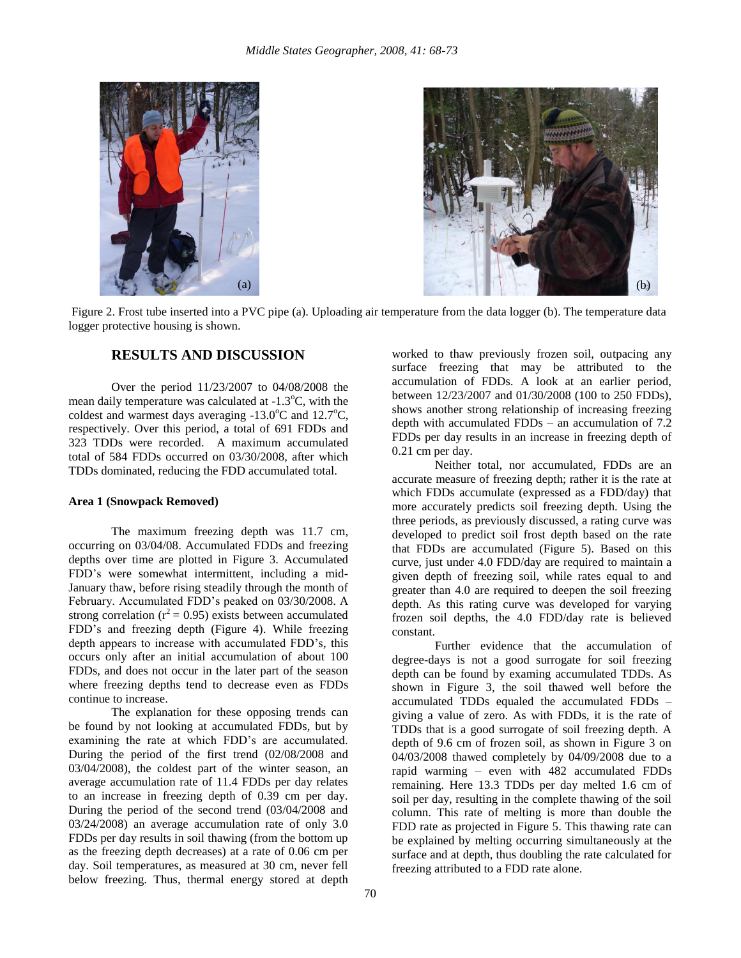



Figure 2. Frost tube inserted into a PVC pipe (a). Uploading air temperature from the data logger (b). The temperature data logger protective housing is shown.

## **RESULTS AND DISCUSSION**

Over the period 11/23/2007 to 04/08/2008 the mean daily temperature was calculated at  $-1.3$ °C, with the coldest and warmest days averaging  $-13.0^{\circ}$ C and  $12.7^{\circ}$ C, respectively. Over this period, a total of 691 FDDs and 323 TDDs were recorded. A maximum accumulated total of 584 FDDs occurred on 03/30/2008, after which TDDs dominated, reducing the FDD accumulated total.

#### **Area 1 (Snowpack Removed)**

The maximum freezing depth was 11.7 cm, occurring on 03/04/08. Accumulated FDDs and freezing depths over time are plotted in Figure 3. Accumulated FDD's were somewhat intermittent, including a mid-January thaw, before rising steadily through the month of February. Accumulated FDD's peaked on 03/30/2008. A strong correlation ( $r^2$  = 0.95) exists between accumulated FDD's and freezing depth (Figure 4). While freezing depth appears to increase with accumulated FDD's, this occurs only after an initial accumulation of about 100 FDDs, and does not occur in the later part of the season where freezing depths tend to decrease even as FDDs continue to increase.

The explanation for these opposing trends can be found by not looking at accumulated FDDs, but by examining the rate at which FDD's are accumulated. During the period of the first trend (02/08/2008 and 03/04/2008), the coldest part of the winter season, an average accumulation rate of 11.4 FDDs per day relates to an increase in freezing depth of 0.39 cm per day. During the period of the second trend (03/04/2008 and 03/24/2008) an average accumulation rate of only 3.0 FDDs per day results in soil thawing (from the bottom up as the freezing depth decreases) at a rate of 0.06 cm per day. Soil temperatures, as measured at 30 cm, never fell below freezing. Thus, thermal energy stored at depth

worked to thaw previously frozen soil, outpacing any surface freezing that may be attributed to the accumulation of FDDs. A look at an earlier period, between 12/23/2007 and 01/30/2008 (100 to 250 FDDs), shows another strong relationship of increasing freezing depth with accumulated FDDs – an accumulation of 7.2 FDDs per day results in an increase in freezing depth of 0.21 cm per day.

Neither total, nor accumulated, FDDs are an accurate measure of freezing depth; rather it is the rate at which FDDs accumulate (expressed as a FDD/day) that more accurately predicts soil freezing depth. Using the three periods, as previously discussed, a rating curve was developed to predict soil frost depth based on the rate that FDDs are accumulated (Figure 5). Based on this curve, just under 4.0 FDD/day are required to maintain a given depth of freezing soil, while rates equal to and greater than 4.0 are required to deepen the soil freezing depth. As this rating curve was developed for varying frozen soil depths, the 4.0 FDD/day rate is believed constant.

Further evidence that the accumulation of degree-days is not a good surrogate for soil freezing depth can be found by examing accumulated TDDs. As shown in Figure 3, the soil thawed well before the accumulated TDDs equaled the accumulated FDDs – giving a value of zero. As with FDDs, it is the rate of TDDs that is a good surrogate of soil freezing depth. A depth of 9.6 cm of frozen soil, as shown in Figure 3 on 04/03/2008 thawed completely by 04/09/2008 due to a rapid warming – even with 482 accumulated FDDs remaining. Here 13.3 TDDs per day melted 1.6 cm of soil per day, resulting in the complete thawing of the soil column. This rate of melting is more than double the FDD rate as projected in Figure 5. This thawing rate can be explained by melting occurring simultaneously at the surface and at depth, thus doubling the rate calculated for freezing attributed to a FDD rate alone.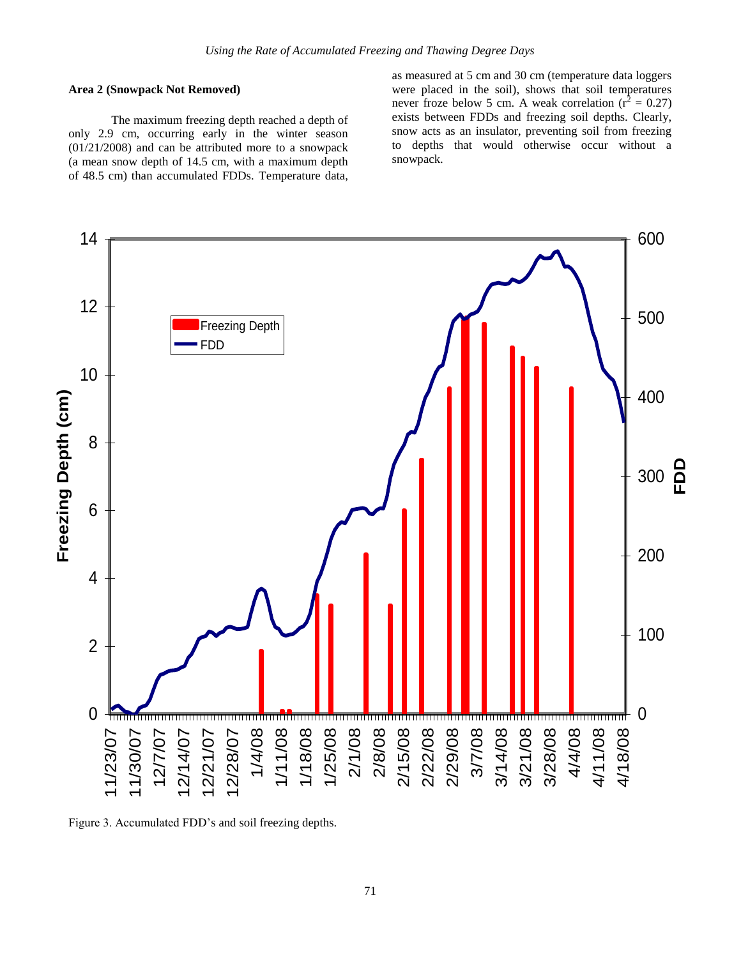#### **Area 2 (Snowpack Not Removed)**

The maximum freezing depth reached a depth of only 2.9 cm, occurring early in the winter season (01/21/2008) and can be attributed more to a snowpack (a mean snow depth of 14.5 cm, with a maximum depth of 48.5 cm) than accumulated FDDs. Temperature data,

as measured at 5 cm and 30 cm (temperature data loggers were placed in the soil), shows that soil temperatures never froze below 5 cm. A weak correlation ( $r^2 = 0.27$ ) exists between FDDs and freezing soil depths. Clearly, snow acts as an insulator, preventing soil from freezing to depths that would otherwise occur without a snowpack.



Figure 3. Accumulated FDD's and soil freezing depths.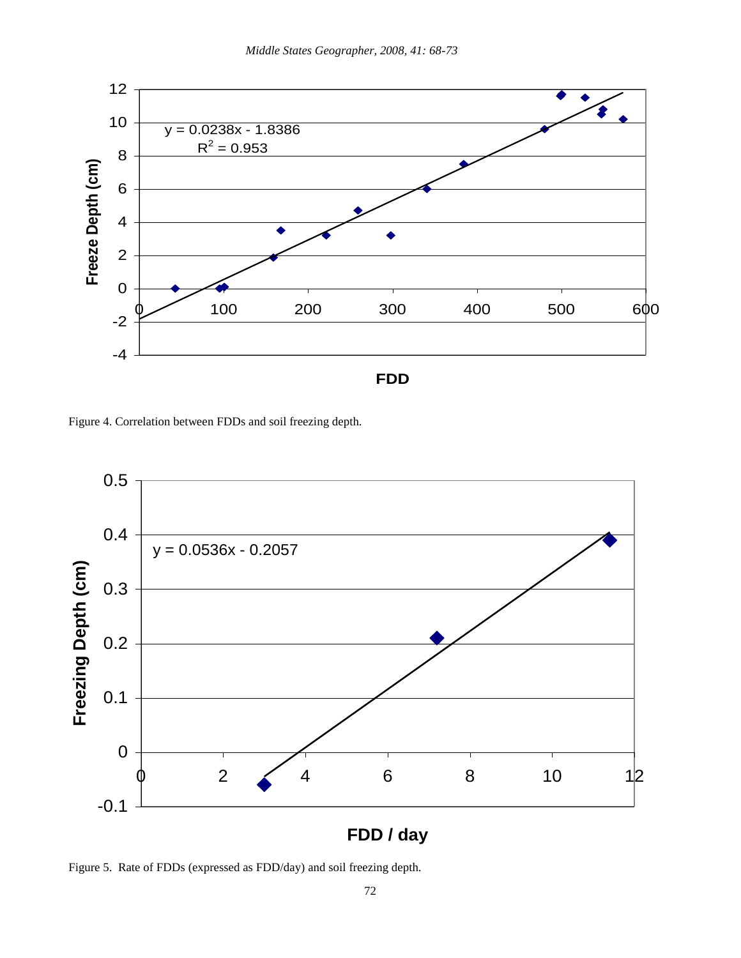

Figure 4. Correlation between FDDs and soil freezing depth.



**FDD / day**

Figure 5. Rate of FDDs (expressed as FDD/day) and soil freezing depth.